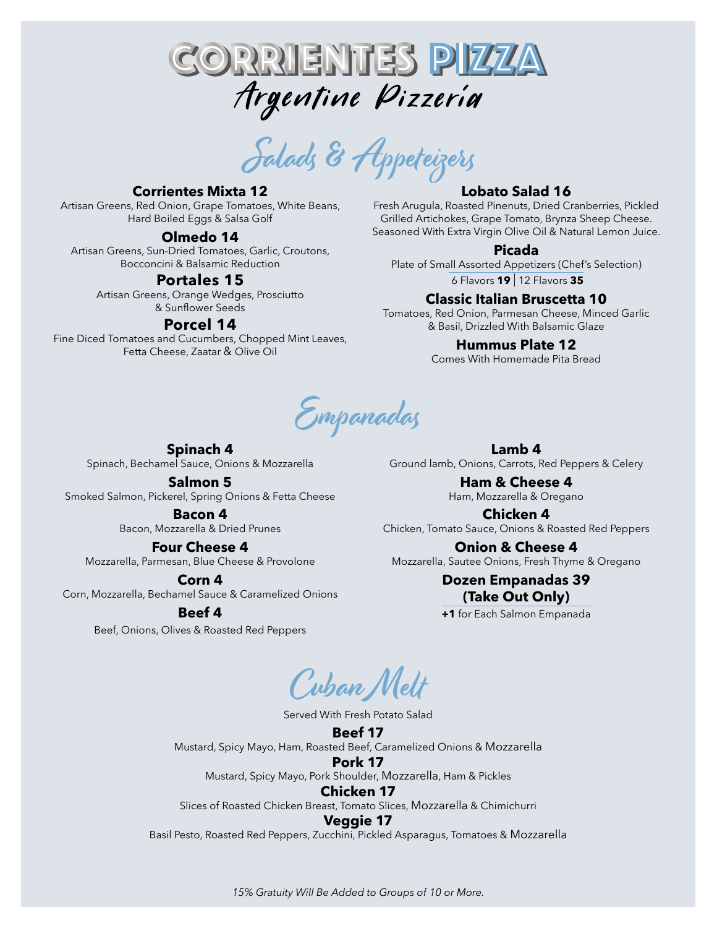

Salads & Appeteizers

# **Corrientes Mixta 12**

Artisan Greens, Red Onion, Grape Tomatoes, White Beans, Hard Boiled Eggs & Salsa Golf

## **Olmedo 14**

Artisan Greens, Sun-Dried Tomatoes, Garlic, Croutons, Bocconcini & Balsamic Reduction

## **Portales 15**

Artisan Greens, Orange Wedges, Prosciutto & Sunflower Seeds

## **Porcel 14**

Fine Diced Tomatoes and Cucumbers, Chopped Mint Leaves, Fetta Cheese, Zaatar & Olive Oil

## **Lobato Salad 16**

Fresh Arugula, Roasted Pinenuts, Dried Cranberries, Pickled Grilled Artichokes, Grape Tomato, Brynza Sheep Cheese. Seasoned With Extra Virgin Olive Oil & Natural Lemon Juice.

## **Picada**

Plate of Small Assorted Appetizers (Chef's Selection)

6 Flavors **19** | 12 Flavors **35**

## **Classic Italian Bruscetta 10**

Tomatoes, Red Onion, Parmesan Cheese, Minced Garlic & Basil, Drizzled With Balsamic Glaze

## **Hummus Plate 12**

Comes With Homemade Pita Bread

Empanadas

**Spinach 4** Spinach, Bechamel Sauce, Onions & Mozzarella

**Salmon 5** Smoked Salmon, Pickerel, Spring Onions & Fetta Cheese

> **Bacon 4** Bacon, Mozzarella & Dried Prunes

## **Four Cheese 4**

Mozzarella, Parmesan, Blue Cheese & Provolone

**Corn 4** Corn, Mozzarella, Bechamel Sauce & Caramelized Onions

## **Beef 4**

Beef, Onions, Olives & Roasted Red Peppers

**Lamb 4** Ground lamb, Onions, Carrots, Red Peppers & Celery

> **Ham & Cheese 4** Ham, Mozzarella & Oregano

**Chicken 4** Chicken, Tomato Sauce, Onions & Roasted Red Peppers

**Onion & Cheese 4** Mozzarella, Sautee Onions, Fresh Thyme & Oregano

## **Dozen Empanadas 39 (Take Out Only)**

**+1** for Each Salmon Empanada

Cuban Melt

Served With Fresh Potato Salad

**Beef 17** Mustard, Spicy Mayo, Ham, Roasted Beef, Caramelized Onions & Mozzarella **Pork 17**

Mustard, Spicy Mayo, Pork Shoulder, Mozzarella, Ham & Pickles

## **Chicken 17**

Slices of Roasted Chicken Breast, Tomato Slices, Mozzarella & Chimichurri

#### **Veggie 17**

Basil Pesto, Roasted Red Peppers, Zucchini, Pickled Asparagus, Tomatoes & Mozzarella

*15% Gratuity Will Be Added to Groups of 10 or More.*